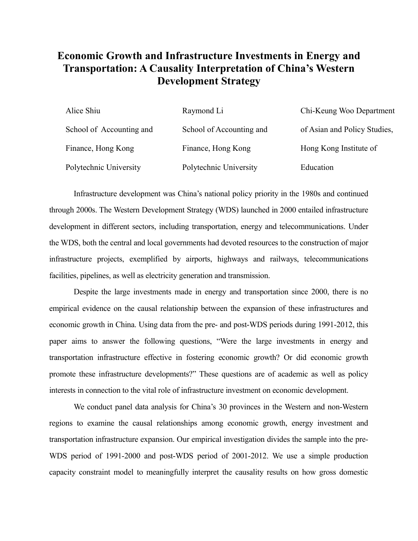## **Economic Growth and Infrastructure Investments in Energy and Transportation: A Causality Interpretation of China's Western Development Strategy**

| Alice Shiu               | Raymond Li               | Chi-Keung Woo Department     |
|--------------------------|--------------------------|------------------------------|
| School of Accounting and | School of Accounting and | of Asian and Policy Studies, |
| Finance, Hong Kong       | Finance, Hong Kong       | Hong Kong Institute of       |
| Polytechnic University   | Polytechnic University   | Education                    |

Infrastructure development was China's national policy priority in the 1980s and continued through 2000s. The Western Development Strategy (WDS) launched in 2000 entailed infrastructure development in different sectors, including transportation, energy and telecommunications. Under the WDS, both the central and local governments had devoted resources to the construction of major infrastructure projects, exemplified by airports, highways and railways, telecommunications facilities, pipelines, as well as electricity generation and transmission.

Despite the large investments made in energy and transportation since 2000, there is no empirical evidence on the causal relationship between the expansion of these infrastructures and economic growth in China. Using data from the pre- and post-WDS periods during 1991-2012, this paper aims to answer the following questions, "Were the large investments in energy and transportation infrastructure effective in fostering economic growth? Or did economic growth promote these infrastructure developments?" These questions are of academic as well as policy interests in connection to the vital role of infrastructure investment on economic development.

We conduct panel data analysis for China's 30 provinces in the Western and non-Western regions to examine the causal relationships among economic growth, energy investment and transportation infrastructure expansion. Our empirical investigation divides the sample into the pre-WDS period of 1991-2000 and post-WDS period of 2001-2012. We use a simple production capacity constraint model to meaningfully interpret the causality results on how gross domestic